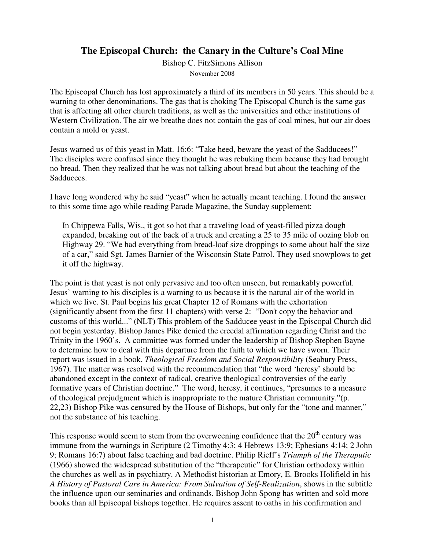# **The Episcopal Church: the Canary in the Culture's Coal Mine**

Bishop C. FitzSimons Allison November 2008

The Episcopal Church has lost approximately a third of its members in 50 years. This should be a warning to other denominations. The gas that is choking The Episcopal Church is the same gas that is affecting all other church traditions, as well as the universities and other institutions of Western Civilization. The air we breathe does not contain the gas of coal mines, but our air does contain a mold or yeast.

Jesus warned us of this yeast in Matt. 16:6: "Take heed, beware the yeast of the Sadducees!" The disciples were confused since they thought he was rebuking them because they had brought no bread. Then they realized that he was not talking about bread but about the teaching of the Sadducees.

I have long wondered why he said "yeast" when he actually meant teaching. I found the answer to this some time ago while reading Parade Magazine, the Sunday supplement:

In Chippewa Falls, Wis., it got so hot that a traveling load of yeast-filled pizza dough expanded, breaking out of the back of a truck and creating a 25 to 35 mile of oozing blob on Highway 29. "We had everything from bread-loaf size droppings to some about half the size of a car," said Sgt. James Barnier of the Wisconsin State Patrol. They used snowplows to get it off the highway.

The point is that yeast is not only pervasive and too often unseen, but remarkably powerful. Jesus' warning to his disciples is a warning to us because it is the natural air of the world in which we live. St. Paul begins his great Chapter 12 of Romans with the exhortation (significantly absent from the first 11 chapters) with verse 2: "Don't copy the behavior and customs of this world..." (NLT) This problem of the Sadducee yeast in the Episcopal Church did not begin yesterday. Bishop James Pike denied the creedal affirmation regarding Christ and the Trinity in the 1960's. A committee was formed under the leadership of Bishop Stephen Bayne to determine how to deal with this departure from the faith to which we have sworn. Their report was issued in a book, *Theological Freedom and Social Responsibility* (Seabury Press, 1967). The matter was resolved with the recommendation that "the word 'heresy' should be abandoned except in the context of radical, creative theological controversies of the early formative years of Christian doctrine." The word, heresy, it continues, "presumes to a measure of theological prejudgment which is inappropriate to the mature Christian community."(p. 22,23) Bishop Pike was censured by the House of Bishops, but only for the "tone and manner," not the substance of his teaching.

This response would seem to stem from the overweening confidence that the  $20<sup>th</sup>$  century was immune from the warnings in Scripture (2 Timothy 4:3; 4 Hebrews 13:9; Ephesians 4:14; 2 John 9; Romans 16:7) about false teaching and bad doctrine. Philip Rieff's *Triumph of the Theraputic* (1966) showed the widespread substitution of the "therapeutic" for Christian orthodoxy within the churches as well as in psychiatry. A Methodist historian at Emory, E. Brooks Holifield in his *A History of Pastoral Care in America: From Salvation of Self-Realization*, shows in the subtitle the influence upon our seminaries and ordinands. Bishop John Spong has written and sold more books than all Episcopal bishops together. He requires assent to oaths in his confirmation and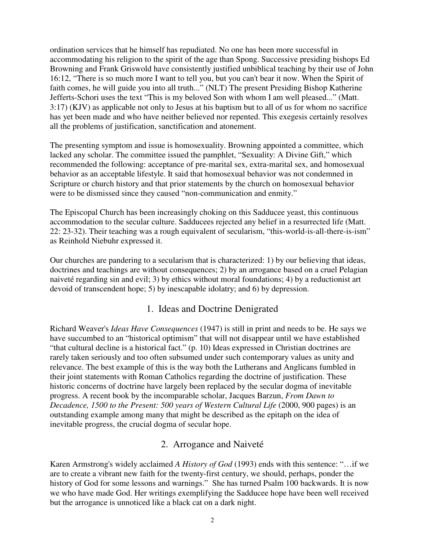ordination services that he himself has repudiated. No one has been more successful in accommodating his religion to the spirit of the age than Spong. Successive presiding bishops Ed Browning and Frank Griswold have consistently justified unbiblical teaching by their use of John 16:12, "There is so much more I want to tell you, but you can't bear it now. When the Spirit of faith comes, he will guide you into all truth..." (NLT) The present Presiding Bishop Katherine Jefferts-Schori uses the text "This is my beloved Son with whom I am well pleased..." (Matt. 3:17) (KJV) as applicable not only to Jesus at his baptism but to all of us for whom no sacrifice has yet been made and who have neither believed nor repented. This exegesis certainly resolves all the problems of justification, sanctification and atonement.

The presenting symptom and issue is homosexuality. Browning appointed a committee, which lacked any scholar. The committee issued the pamphlet, "Sexuality: A Divine Gift," which recommended the following: acceptance of pre-marital sex, extra-marital sex, and homosexual behavior as an acceptable lifestyle. It said that homosexual behavior was not condemned in Scripture or church history and that prior statements by the church on homosexual behavior were to be dismissed since they caused "non-communication and enmity."

The Episcopal Church has been increasingly choking on this Sadducee yeast, this continuous accommodation to the secular culture. Sadducees rejected any belief in a resurrected life (Matt. 22: 23-32). Their teaching was a rough equivalent of secularism, "this-world-is-all-there-is-ism" as Reinhold Niebuhr expressed it.

Our churches are pandering to a secularism that is characterized: 1) by our believing that ideas, doctrines and teachings are without consequences; 2) by an arrogance based on a cruel Pelagian naiveté regarding sin and evil; 3) by ethics without moral foundations; 4) by a reductionist art devoid of transcendent hope; 5) by inescapable idolatry; and 6) by depression.

### 1. Ideas and Doctrine Denigrated

Richard Weaver's *Ideas Have Consequences* (1947) is still in print and needs to be. He says we have succumbed to an "historical optimism" that will not disappear until we have established "that cultural decline is a historical fact." (p. 10) Ideas expressed in Christian doctrines are rarely taken seriously and too often subsumed under such contemporary values as unity and relevance. The best example of this is the way both the Lutherans and Anglicans fumbled in their joint statements with Roman Catholics regarding the doctrine of justification. These historic concerns of doctrine have largely been replaced by the secular dogma of inevitable progress. A recent book by the incomparable scholar, Jacques Barzun, *From Dawn to Decadence, 1500 to the Present: 500 years of Western Cultural Life* (2000, 900 pages) is an outstanding example among many that might be described as the epitaph on the idea of inevitable progress, the crucial dogma of secular hope.

#### 2. Arrogance and Naiveté

Karen Armstrong's widely acclaimed *A History of God* (1993) ends with this sentence: "…if we are to create a vibrant new faith for the twenty-first century, we should, perhaps, ponder the history of God for some lessons and warnings." She has turned Psalm 100 backwards. It is now we who have made God. Her writings exemplifying the Sadducee hope have been well received but the arrogance is unnoticed like a black cat on a dark night.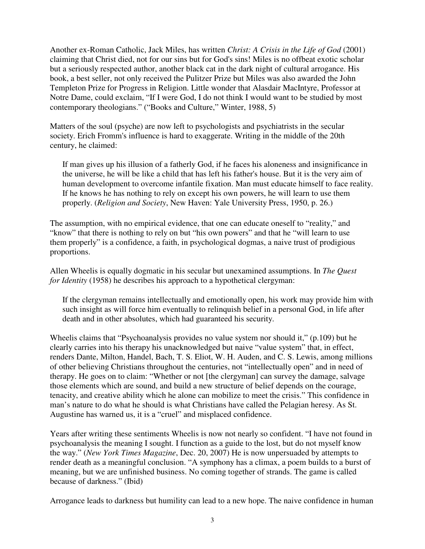Another ex-Roman Catholic, Jack Miles, has written *Christ: A Crisis in the Life of God* (2001) claiming that Christ died, not for our sins but for God's sins! Miles is no offbeat exotic scholar but a seriously respected author, another black cat in the dark night of cultural arrogance. His book, a best seller, not only received the Pulitzer Prize but Miles was also awarded the John Templeton Prize for Progress in Religion. Little wonder that Alasdair MacIntyre, Professor at Notre Dame, could exclaim, "If I were God, I do not think I would want to be studied by most contemporary theologians." ("Books and Culture," Winter, 1988, 5)

Matters of the soul (psyche) are now left to psychologists and psychiatrists in the secular society. Erich Fromm's influence is hard to exaggerate. Writing in the middle of the 20th century, he claimed:

If man gives up his illusion of a fatherly God, if he faces his aloneness and insignificance in the universe, he will be like a child that has left his father's house. But it is the very aim of human development to overcome infantile fixation. Man must educate himself to face reality. If he knows he has nothing to rely on except his own powers, he will learn to use them properly. (*Religion and Society*, New Haven: Yale University Press, 1950, p. 26.)

The assumption, with no empirical evidence, that one can educate oneself to "reality," and "know" that there is nothing to rely on but "his own powers" and that he "will learn to use them properly" is a confidence, a faith, in psychological dogmas, a naive trust of prodigious proportions.

Allen Wheelis is equally dogmatic in his secular but unexamined assumptions. In *The Quest for Identity* (1958) he describes his approach to a hypothetical clergyman:

If the clergyman remains intellectually and emotionally open, his work may provide him with such insight as will force him eventually to relinquish belief in a personal God, in life after death and in other absolutes, which had guaranteed his security.

Wheelis claims that "Psychoanalysis provides no value system nor should it," (p.109) but he clearly carries into his therapy his unacknowledged but naive "value system" that, in effect, renders Dante, Milton, Handel, Bach, T. S. Eliot, W. H. Auden, and C. S. Lewis, among millions of other believing Christians throughout the centuries, not "intellectually open" and in need of therapy. He goes on to claim: "Whether or not [the clergyman] can survey the damage, salvage those elements which are sound, and build a new structure of belief depends on the courage, tenacity, and creative ability which he alone can mobilize to meet the crisis." This confidence in man's nature to do what he should is what Christians have called the Pelagian heresy. As St. Augustine has warned us, it is a "cruel" and misplaced confidence.

Years after writing these sentiments Wheelis is now not nearly so confident. "I have not found in psychoanalysis the meaning I sought. I function as a guide to the lost, but do not myself know the way." (*New York Times Magazine*, Dec. 20, 2007) He is now unpersuaded by attempts to render death as a meaningful conclusion. "A symphony has a climax, a poem builds to a burst of meaning, but we are unfinished business. No coming together of strands. The game is called because of darkness." (Ibid)

Arrogance leads to darkness but humility can lead to a new hope. The naive confidence in human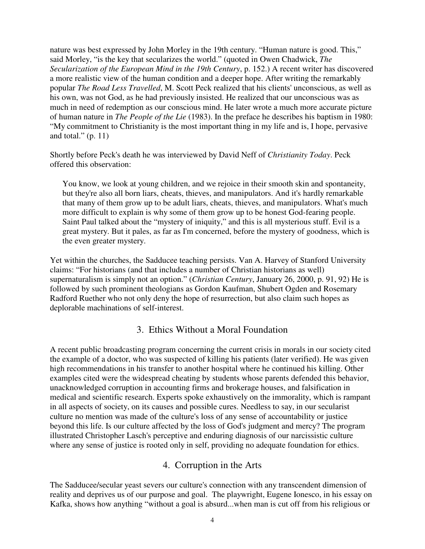nature was best expressed by John Morley in the 19th century. "Human nature is good. This," said Morley, "is the key that secularizes the world." (quoted in Owen Chadwick, *The Secularization of the European Mind in the 19th Century*, p. 152.) A recent writer has discovered a more realistic view of the human condition and a deeper hope. After writing the remarkably popular *The Road Less Travelled*, M. Scott Peck realized that his clients' unconscious, as well as his own, was not God, as he had previously insisted. He realized that our unconscious was as much in need of redemption as our conscious mind. He later wrote a much more accurate picture of human nature in *The People of the Lie* (1983). In the preface he describes his baptism in 1980: "My commitment to Christianity is the most important thing in my life and is, I hope, pervasive and total."  $(p. 11)$ 

Shortly before Peck's death he was interviewed by David Neff of *Christianity Today*. Peck offered this observation:

You know, we look at young children, and we rejoice in their smooth skin and spontaneity, but they're also all born liars, cheats, thieves, and manipulators. And it's hardly remarkable that many of them grow up to be adult liars, cheats, thieves, and manipulators. What's much more difficult to explain is why some of them grow up to be honest God-fearing people. Saint Paul talked about the "mystery of iniquity," and this is all mysterious stuff. Evil is a great mystery. But it pales, as far as I'm concerned, before the mystery of goodness, which is the even greater mystery.

Yet within the churches, the Sadducee teaching persists. Van A. Harvey of Stanford University claims: "For historians (and that includes a number of Christian historians as well) supernaturalism is simply not an option." (*Christian Century*, January 26, 2000, p. 91, 92) He is followed by such prominent theologians as Gordon Kaufman, Shubert Ogden and Rosemary Radford Ruether who not only deny the hope of resurrection, but also claim such hopes as deplorable machinations of self-interest.

### 3. Ethics Without a Moral Foundation

A recent public broadcasting program concerning the current crisis in morals in our society cited the example of a doctor, who was suspected of killing his patients (later verified). He was given high recommendations in his transfer to another hospital where he continued his killing. Other examples cited were the widespread cheating by students whose parents defended this behavior, unacknowledged corruption in accounting firms and brokerage houses, and falsification in medical and scientific research. Experts spoke exhaustively on the immorality, which is rampant in all aspects of society, on its causes and possible cures. Needless to say, in our secularist culture no mention was made of the culture's loss of any sense of accountability or justice beyond this life. Is our culture affected by the loss of God's judgment and mercy? The program illustrated Christopher Lasch's perceptive and enduring diagnosis of our narcissistic culture where any sense of justice is rooted only in self, providing no adequate foundation for ethics.

### 4. Corruption in the Arts

The Sadducee/secular yeast severs our culture's connection with any transcendent dimension of reality and deprives us of our purpose and goal. The playwright, Eugene Ionesco, in his essay on Kafka, shows how anything "without a goal is absurd...when man is cut off from his religious or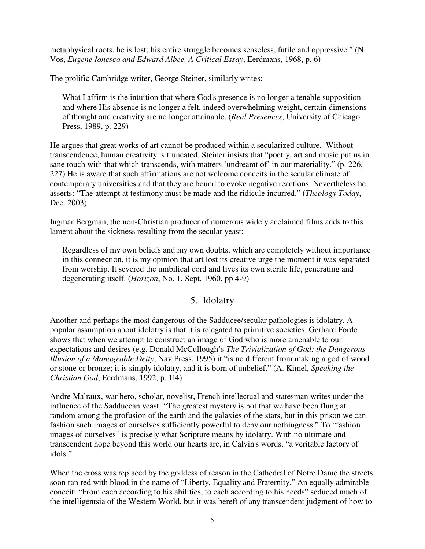metaphysical roots, he is lost; his entire struggle becomes senseless, futile and oppressive." (N. Vos, *Eugene Ionesco and Edward Albee, A Critical Essay*, Eerdmans, 1968, p. 6)

The prolific Cambridge writer, George Steiner, similarly writes:

What I affirm is the intuition that where God's presence is no longer a tenable supposition and where His absence is no longer a felt, indeed overwhelming weight, certain dimensions of thought and creativity are no longer attainable. (*Real Presences*, University of Chicago Press, 1989, p. 229)

He argues that great works of art cannot be produced within a secularized culture. Without transcendence, human creativity is truncated. Steiner insists that "poetry, art and music put us in sane touch with that which transcends, with matters 'undreamt of' in our materiality." (p. 226, 227) He is aware that such affirmations are not welcome conceits in the secular climate of contemporary universities and that they are bound to evoke negative reactions. Nevertheless he asserts: "The attempt at testimony must be made and the ridicule incurred." (*Theology Today*, Dec. 2003)

Ingmar Bergman, the non-Christian producer of numerous widely acclaimed films adds to this lament about the sickness resulting from the secular yeast:

Regardless of my own beliefs and my own doubts, which are completely without importance in this connection, it is my opinion that art lost its creative urge the moment it was separated from worship. It severed the umbilical cord and lives its own sterile life, generating and degenerating itself. (*Horizon*, No. 1, Sept. 1960, pp 4-9)

# 5. Idolatry

Another and perhaps the most dangerous of the Sadducee/secular pathologies is idolatry. A popular assumption about idolatry is that it is relegated to primitive societies. Gerhard Forde shows that when we attempt to construct an image of God who is more amenable to our expectations and desires (e.g. Donald McCullough's *The Trivialization of God: the Dangerous Illusion of a Manageable Deity*, Nav Press, 1995) it "is no different from making a god of wood or stone or bronze; it is simply idolatry, and it is born of unbelief." (A. Kimel, *Speaking the Christian God*, Eerdmans, 1992, p. 1l4)

Andre Malraux, war hero, scholar, novelist, French intellectual and statesman writes under the influence of the Sadducean yeast: "The greatest mystery is not that we have been flung at random among the profusion of the earth and the galaxies of the stars, but in this prison we can fashion such images of ourselves sufficiently powerful to deny our nothingness." To "fashion images of ourselves" is precisely what Scripture means by idolatry. With no ultimate and transcendent hope beyond this world our hearts are, in Calvin's words, "a veritable factory of idols."

When the cross was replaced by the goddess of reason in the Cathedral of Notre Dame the streets soon ran red with blood in the name of "Liberty, Equality and Fraternity." An equally admirable conceit: "From each according to his abilities, to each according to his needs" seduced much of the intelligentsia of the Western World, but it was bereft of any transcendent judgment of how to